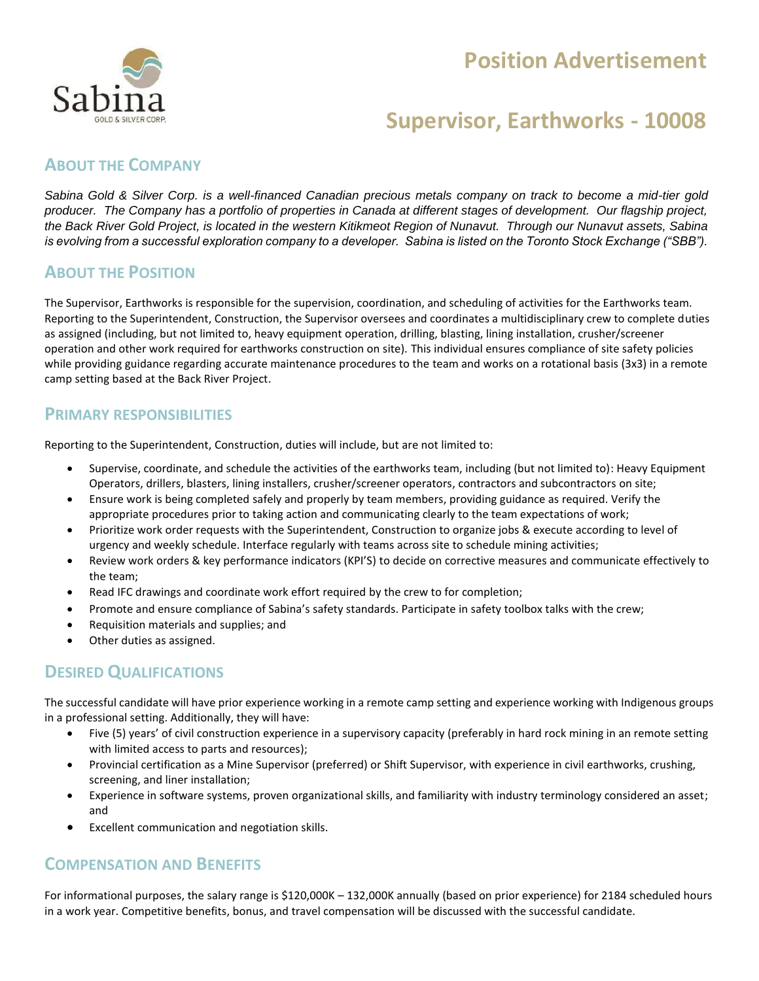# **Position Advertisement**



# **Supervisor, Earthworks - 10008**

## **ABOUT THE COMPANY**

*Sabina Gold & Silver Corp. is a well-financed Canadian precious metals company on track to become a mid-tier gold producer. The Company has a portfolio of properties in Canada at different stages of development. Our flagship project, the Back River Gold Project, is located in the western Kitikmeot Region of Nunavut. Through our Nunavut assets, Sabina is evolving from a successful exploration company to a developer. Sabina is listed on the Toronto Stock Exchange ("SBB").*

#### **ABOUT THE POSITION**

The Supervisor, Earthworks is responsible for the supervision, coordination, and scheduling of activities for the Earthworks team. Reporting to the Superintendent, Construction, the Supervisor oversees and coordinates a multidisciplinary crew to complete duties as assigned (including, but not limited to, heavy equipment operation, drilling, blasting, lining installation, crusher/screener operation and other work required for earthworks construction on site). This individual ensures compliance of site safety policies while providing guidance regarding accurate maintenance procedures to the team and works on a rotational basis (3x3) in a remote camp setting based at the Back River Project.

#### **PRIMARY RESPONSIBILITIES**

Reporting to the Superintendent, Construction, duties will include, but are not limited to:

- Supervise, coordinate, and schedule the activities of the earthworks team, including (but not limited to): Heavy Equipment Operators, drillers, blasters, lining installers, crusher/screener operators, contractors and subcontractors on site;
- Ensure work is being completed safely and properly by team members, providing guidance as required. Verify the appropriate procedures prior to taking action and communicating clearly to the team expectations of work;
- Prioritize work order requests with the Superintendent, Construction to organize jobs & execute according to level of urgency and weekly schedule. Interface regularly with teams across site to schedule mining activities;
- Review work orders & key performance indicators (KPI'S) to decide on corrective measures and communicate effectively to the team;
- Read IFC drawings and coordinate work effort required by the crew to for completion;
- Promote and ensure compliance of Sabina's safety standards. Participate in safety toolbox talks with the crew;
- Requisition materials and supplies; and
- Other duties as assigned.

#### **DESIRED QUALIFICATIONS**

The successful candidate will have prior experience working in a remote camp setting and experience working with Indigenous groups in a professional setting. Additionally, they will have:

- Five (5) years' of civil construction experience in a supervisory capacity (preferably in hard rock mining in an remote setting with limited access to parts and resources);
- Provincial certification as a Mine Supervisor (preferred) or Shift Supervisor, with experience in civil earthworks, crushing, screening, and liner installation;
- Experience in software systems, proven organizational skills, and familiarity with industry terminology considered an asset; and
- Excellent communication and negotiation skills.

#### **COMPENSATION AND BENEFITS**

For informational purposes, the salary range is \$120,000K – 132,000K annually (based on prior experience) for 2184 scheduled hours in a work year. Competitive benefits, bonus, and travel compensation will be discussed with the successful candidate.